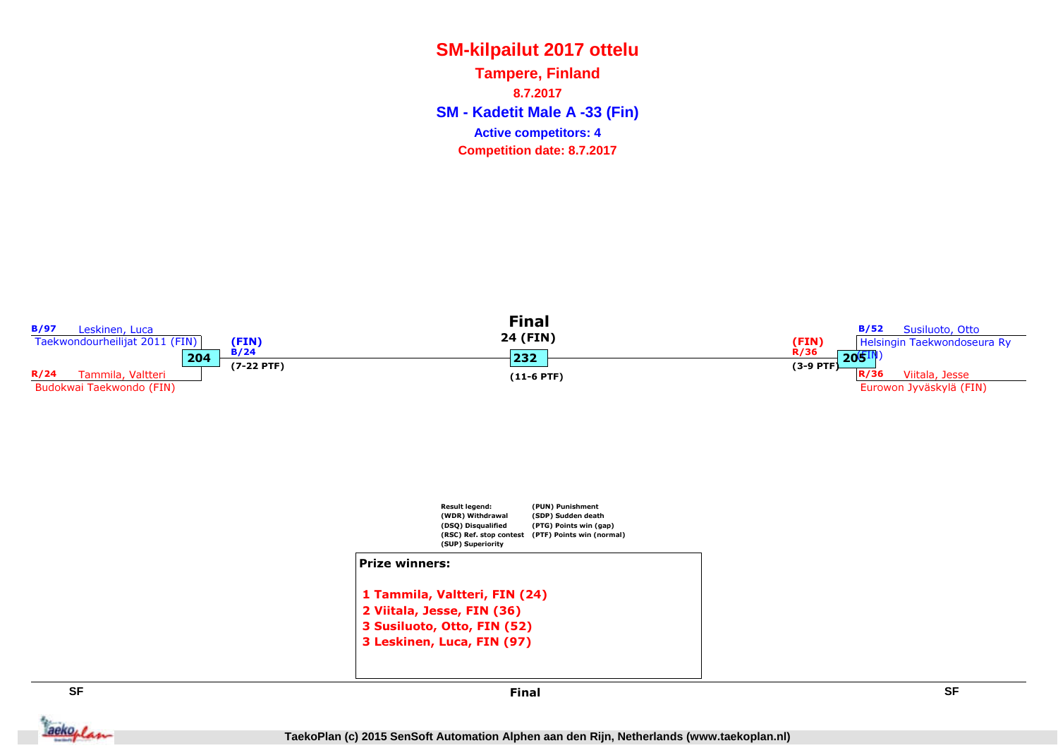**SM - Kadetit Male A -33 (Fin) Tampere, Finland8.7.2017Competition date: 8.7.2017 Active competitors: 4**

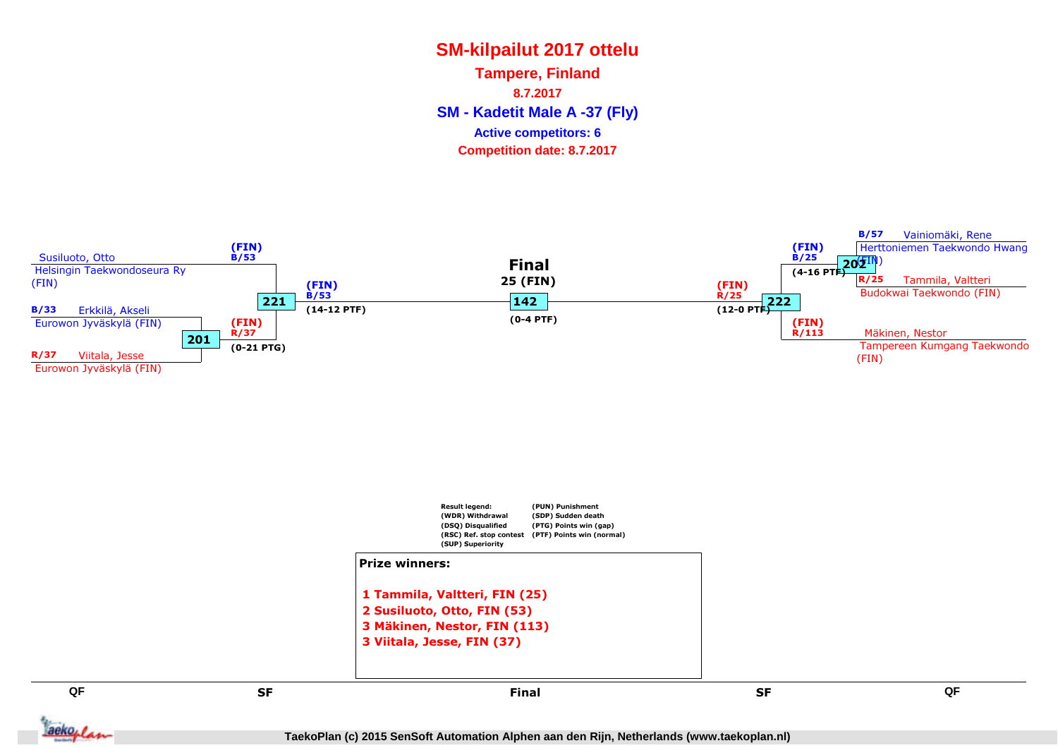**SM - Kadetit Male A -37 (Fly) Tampere, Finland8.7.2017Competition date: 8.7.2017 Active competitors: 6**



F SF SF SF RESERVE SE SE SF RESERVE AS SE SF SF RESERVE AS A SERVE AS A SERVE AS A SERVE AS A SERVE A SERVE A SE SF Final



**QF**

**TaekoPlan (c) 2015 SenSoft Automation Alphen aan den Rijn, Netherlands (www.taekoplan.nl)**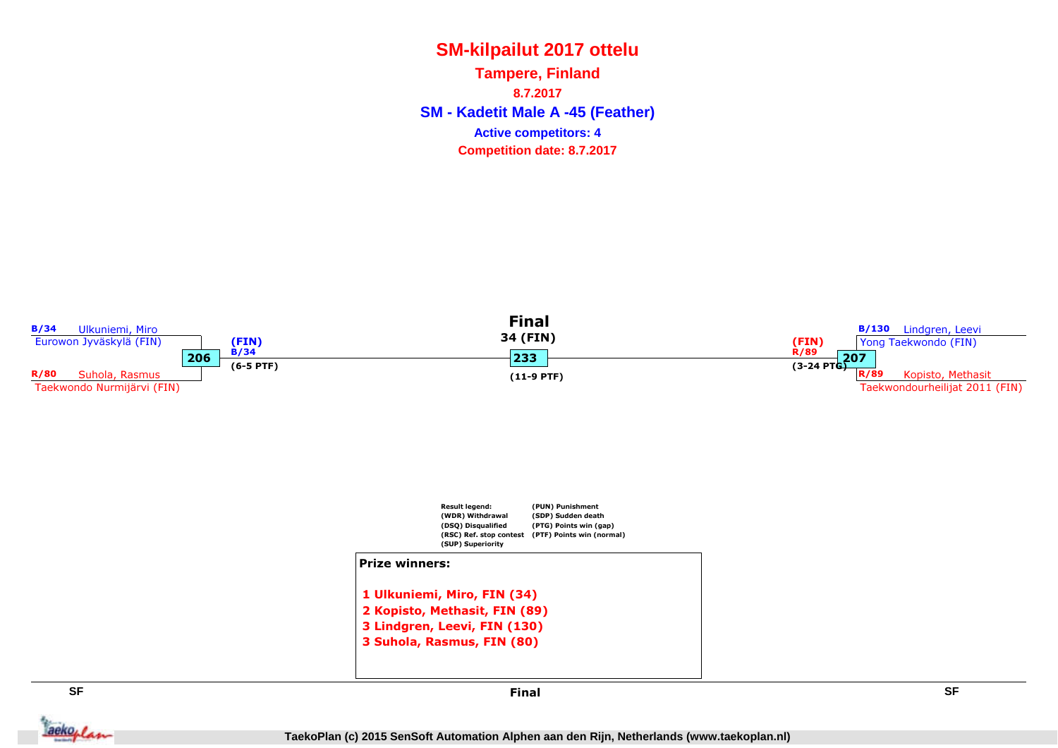**SM - Kadetit Male A -45 (Feather) Tampere, Finland8.7.2017Competition date: 8.7.2017 Active competitors: 4**

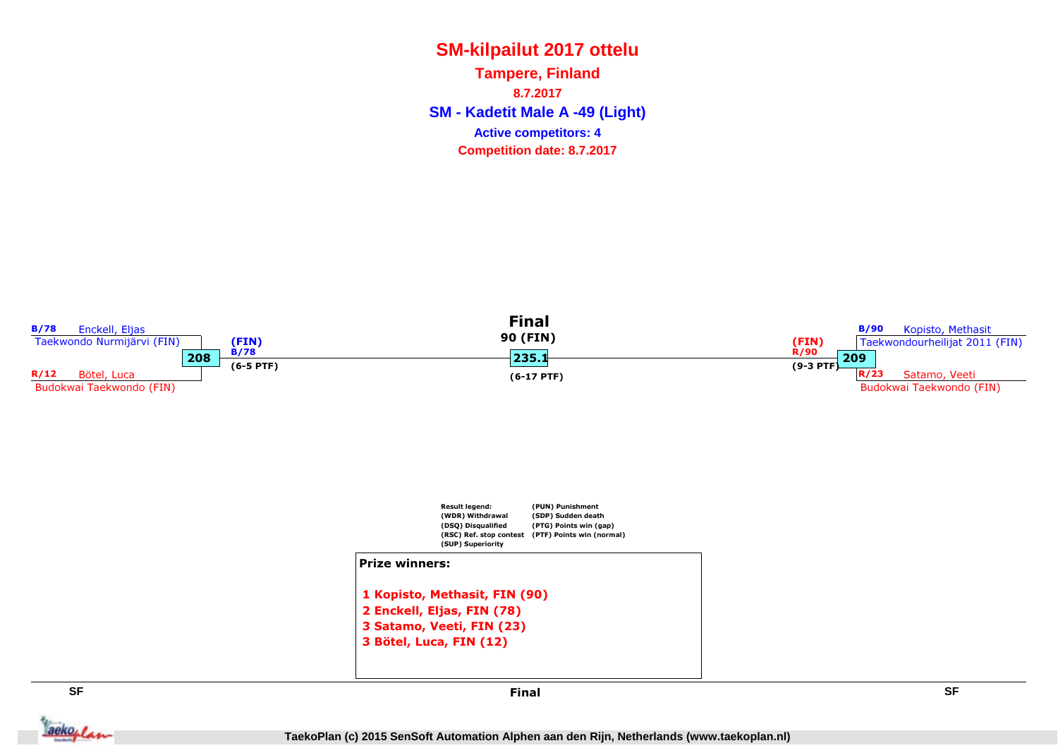**SM - Kadetit Male A -49 (Light) Tampere, Finland8.7.2017Competition date: 8.7.2017 Active competitors: 4**

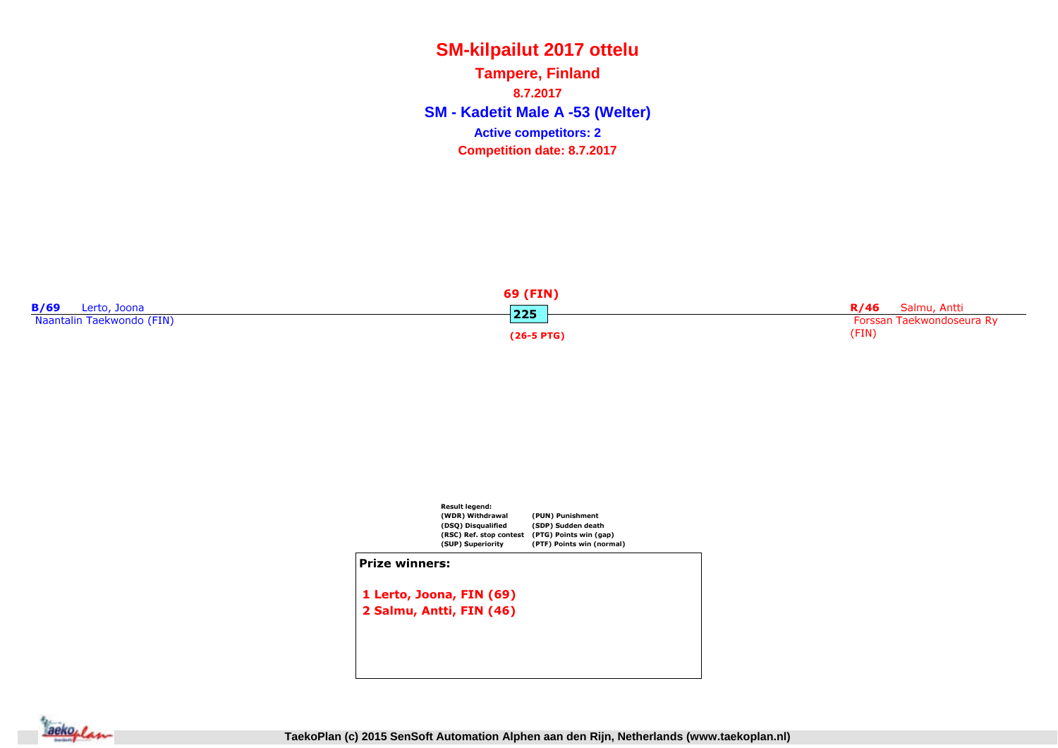**SM - Kadetit Male A -53 (Welter) Tampere, Finland8.7.2017Competition date: 8.7.2017 Active competitors: 2**





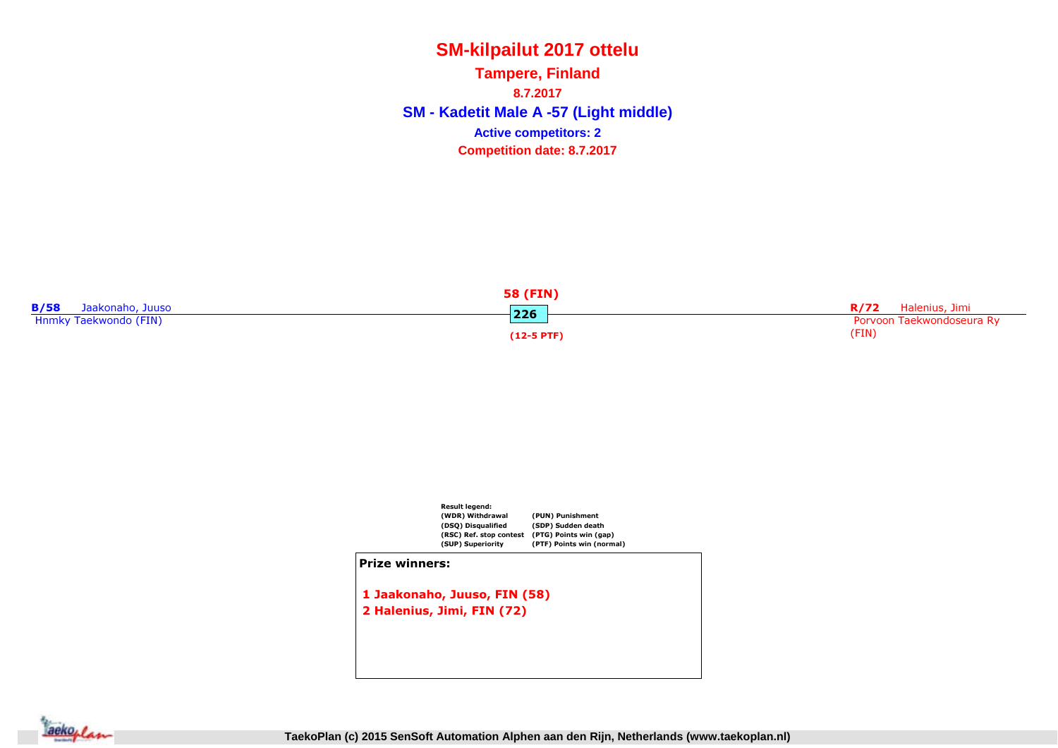**SM - Kadetit Male A -57 (Light middle) Tampere, Finland8.7.2017Competition date: 8.7.2017 Active competitors: 2**





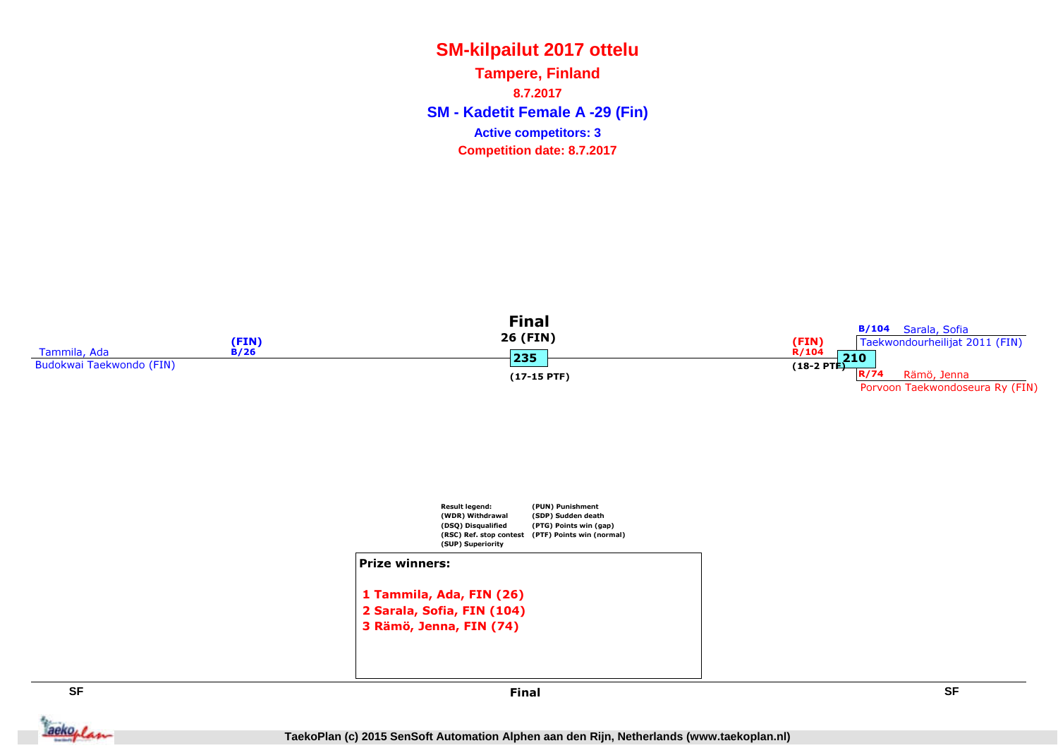**SM - Kadetit Female A -29 (Fin) Tampere, Finland8.7.2017Competition date: 8.7.2017 Active competitors: 3**





 2 Sarala, Sofia, FIN (104)3 Rämö, Jenna, FIN (74)



 **SF** Final

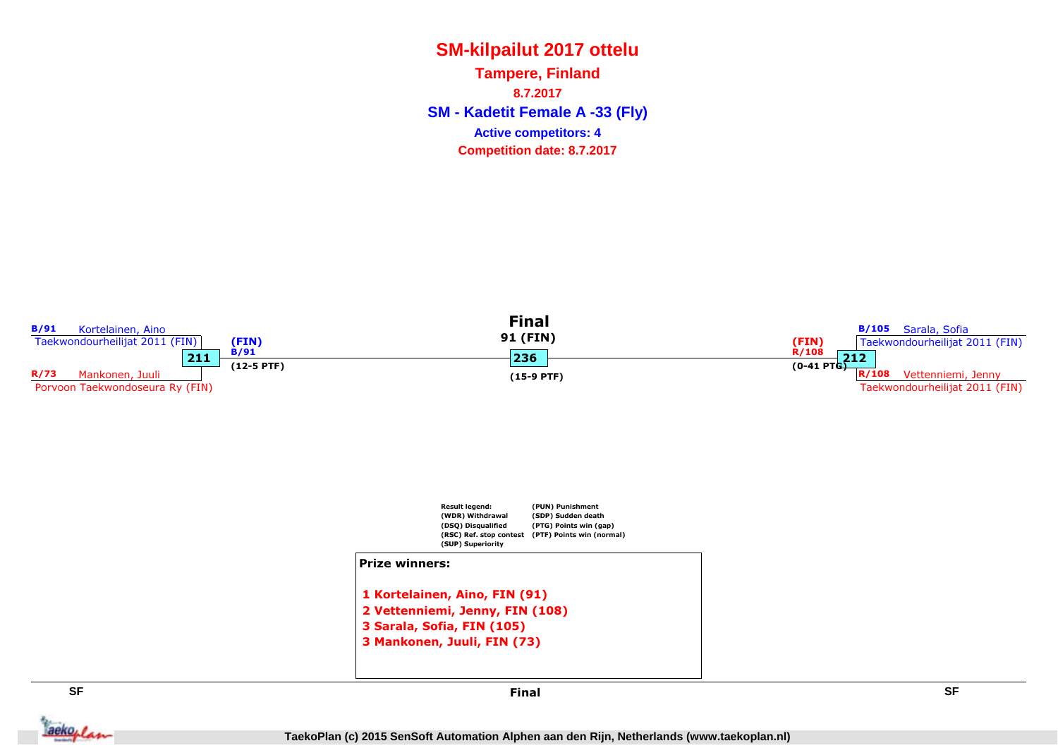**SM - Kadetit Female A -33 (Fly) Tampere, Finland8.7.2017Competition date: 8.7.2017 Active competitors: 4**



Jackeplan



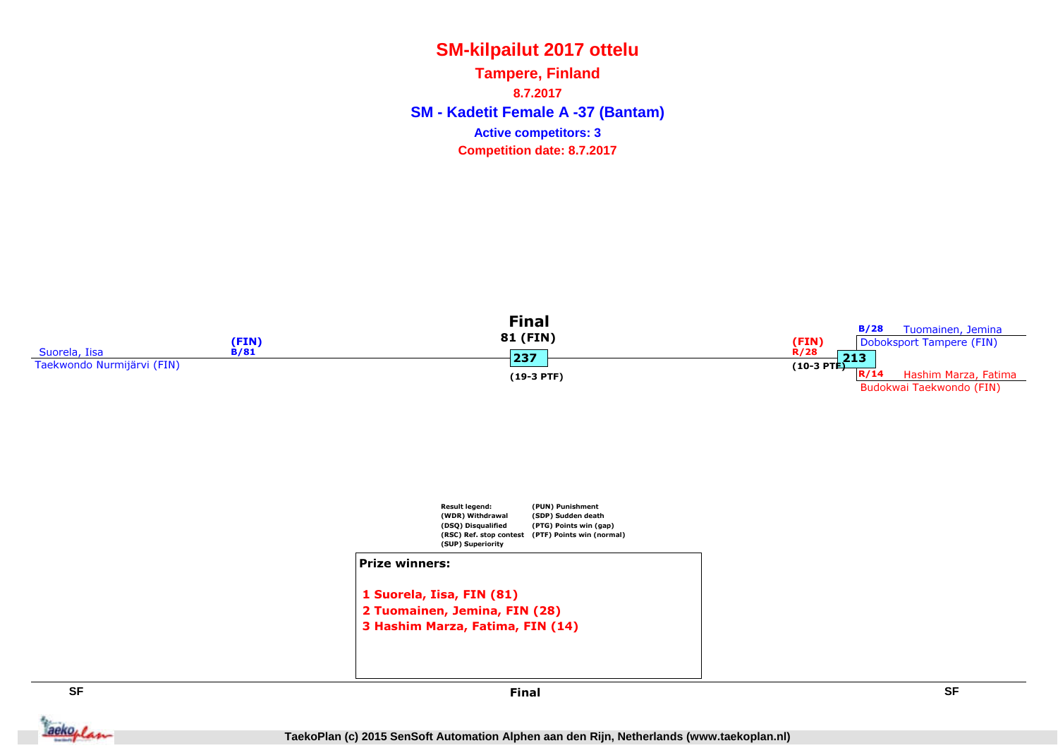**SM - Kadetit Female A -37 (Bantam) Tampere, Finland8.7.2017Competition date: 8.7.2017 Active competitors: 3**



#### Prize winners:

1 Suorela, Iisa, FIN (81) 2 Tuomainen, Jemina, FIN (28)3 Hashim Marza, Fatima, FIN (14)

**SF**

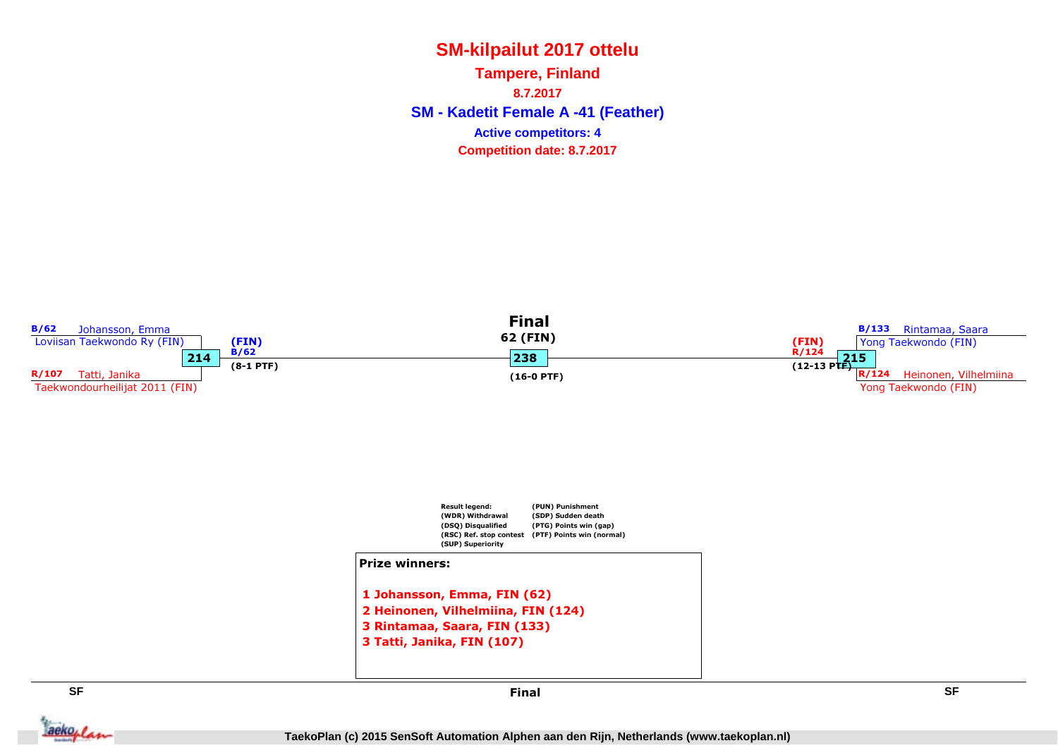**SM - Kadetit Female A -41 (Feather) Tampere, Finland8.7.2017Competition date: 8.7.2017 Active competitors: 4**



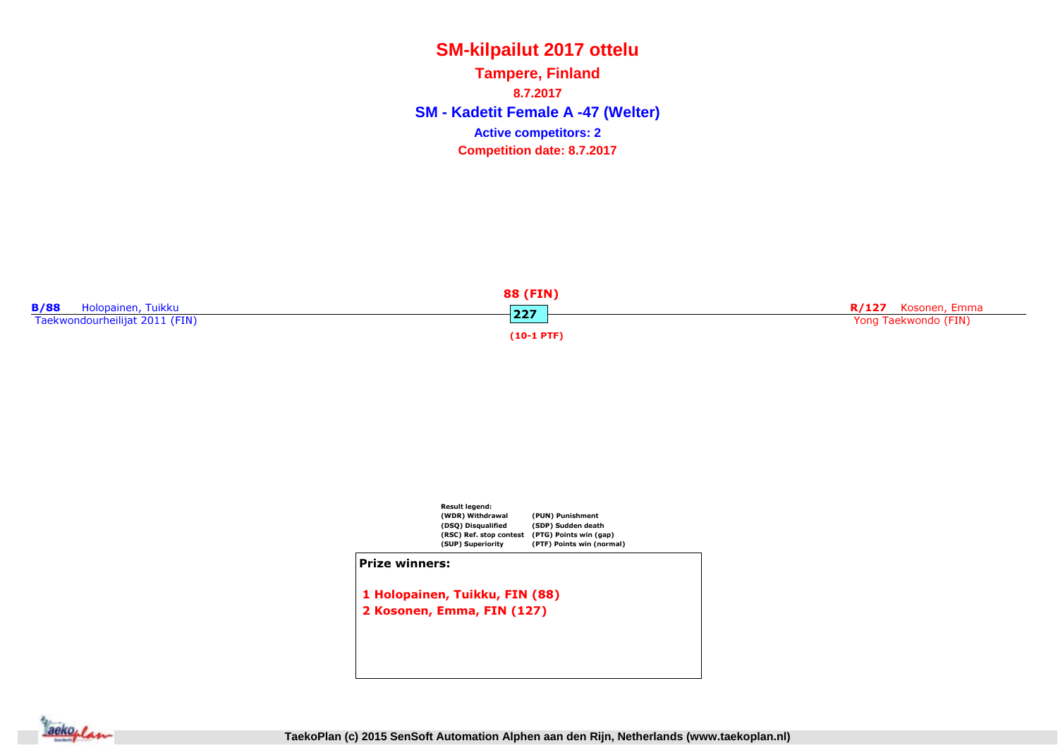**SM - Kadetit Female A -47 (Welter) Tampere, Finland8.7.2017Competition date: 8.7.2017 Active competitors: 2**





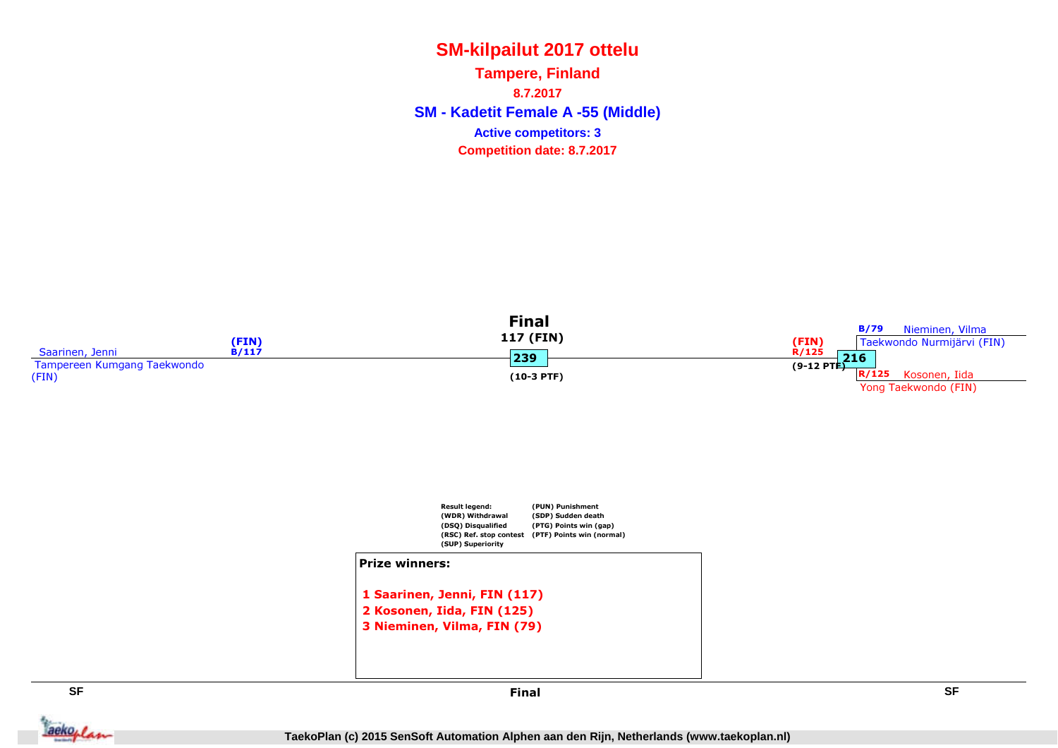**SM - Kadetit Female A -55 (Middle) Tampere, Finland8.7.2017Competition date: 8.7.2017 Active competitors: 3**



Jackeplan



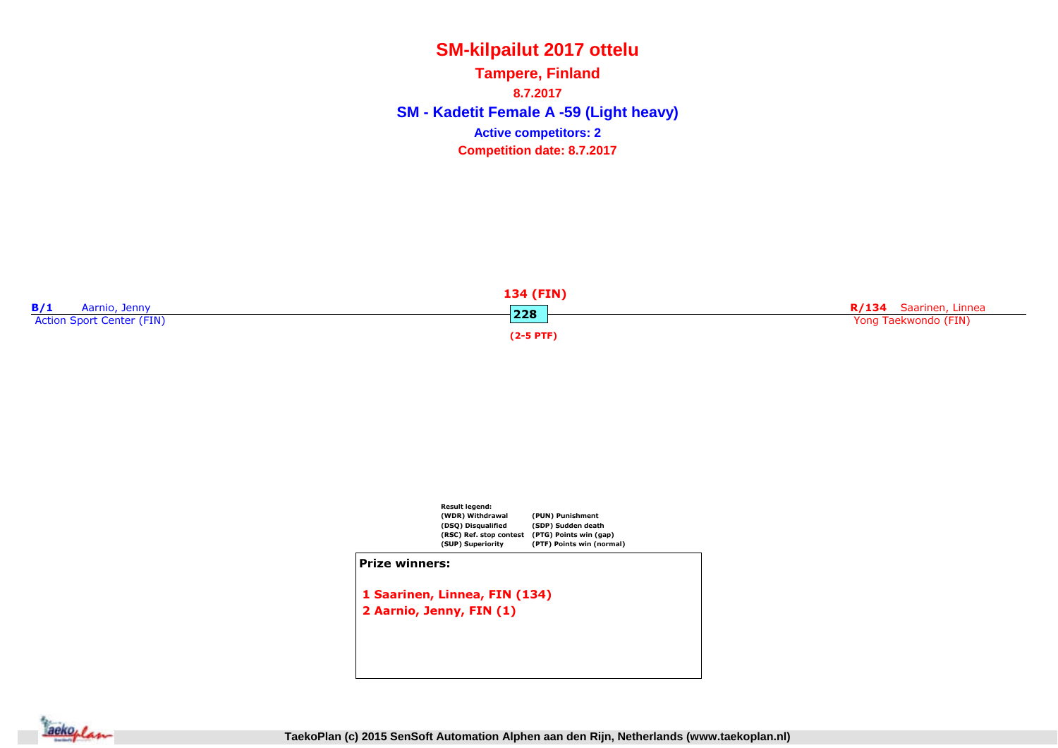**SM - Kadetit Female A -59 (Light heavy) Tampere, Finland8.7.2017Competition date: 8.7.2017 Active competitors: 2**





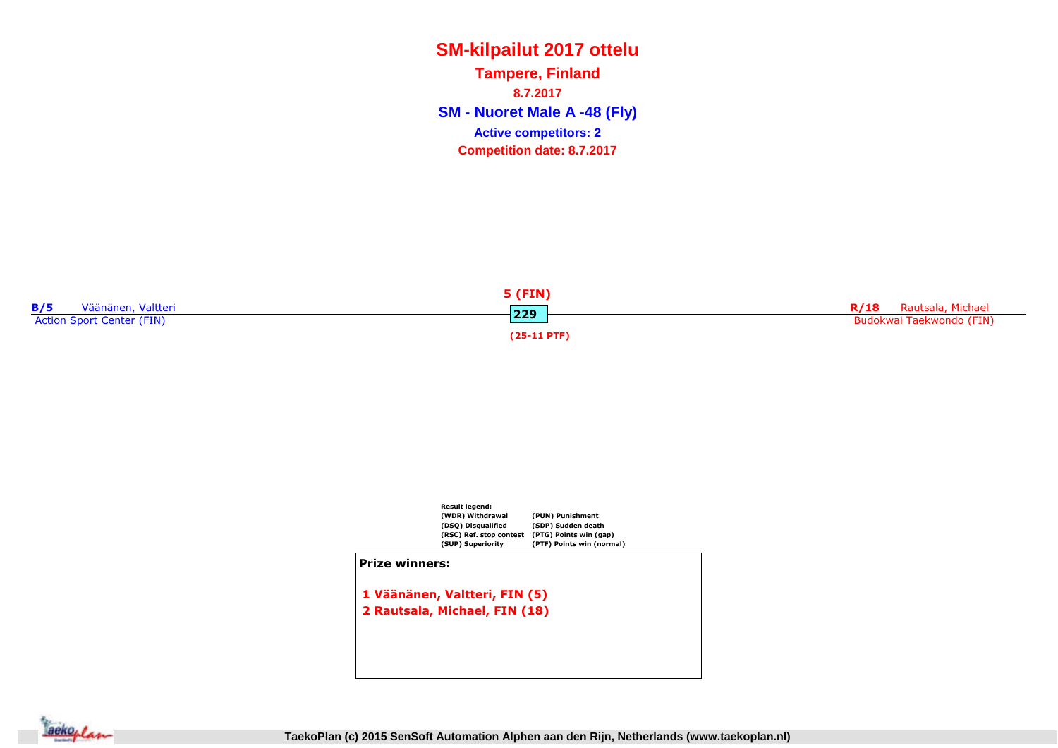**SM - Nuoret Male A -48 (Fly) Tampere, Finland8.7.2017Competition date: 8.7.2017 Active competitors: 2**





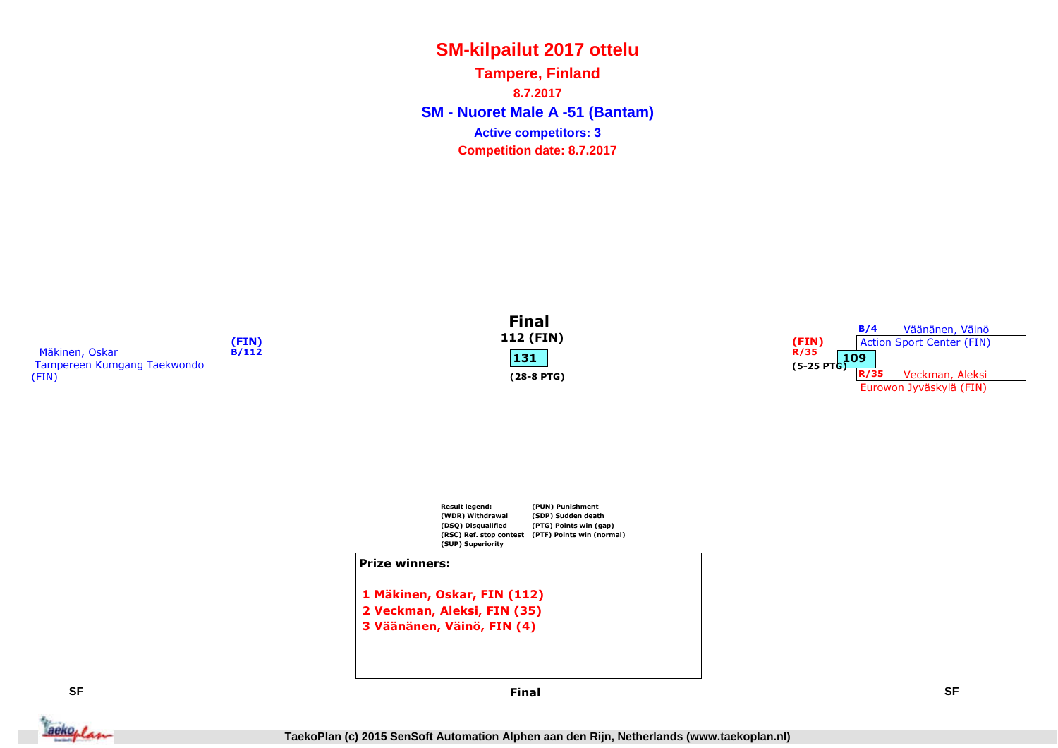**SM - Nuoret Male A -51 (Bantam) Tampere, Finland8.7.2017Competition date: 8.7.2017 Active competitors: 3**



**SF**

 **SF** Final

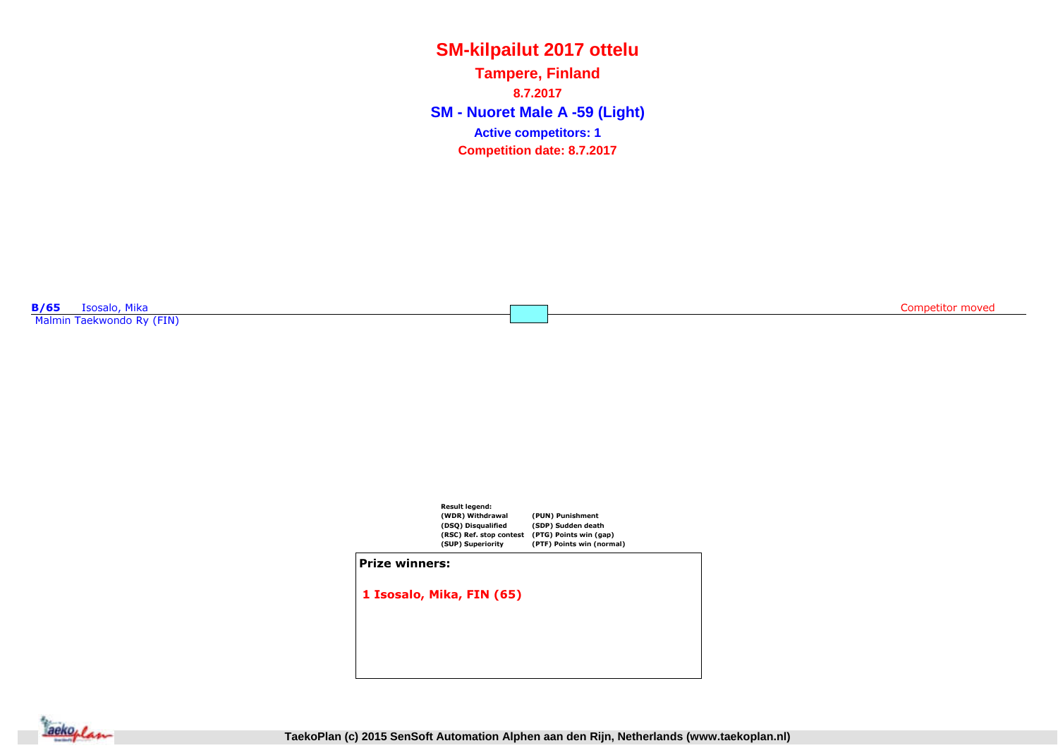**SM - Nuoret Male A -59 (Light) Tampere, Finland8.7.2017Competition date: 8.7.2017 Active competitors: 1**

**B/65** Isosalo, Mika<br>Mahain Tanlon, Indo Malmin Taekwondo Ry (FIN) Competitor moved



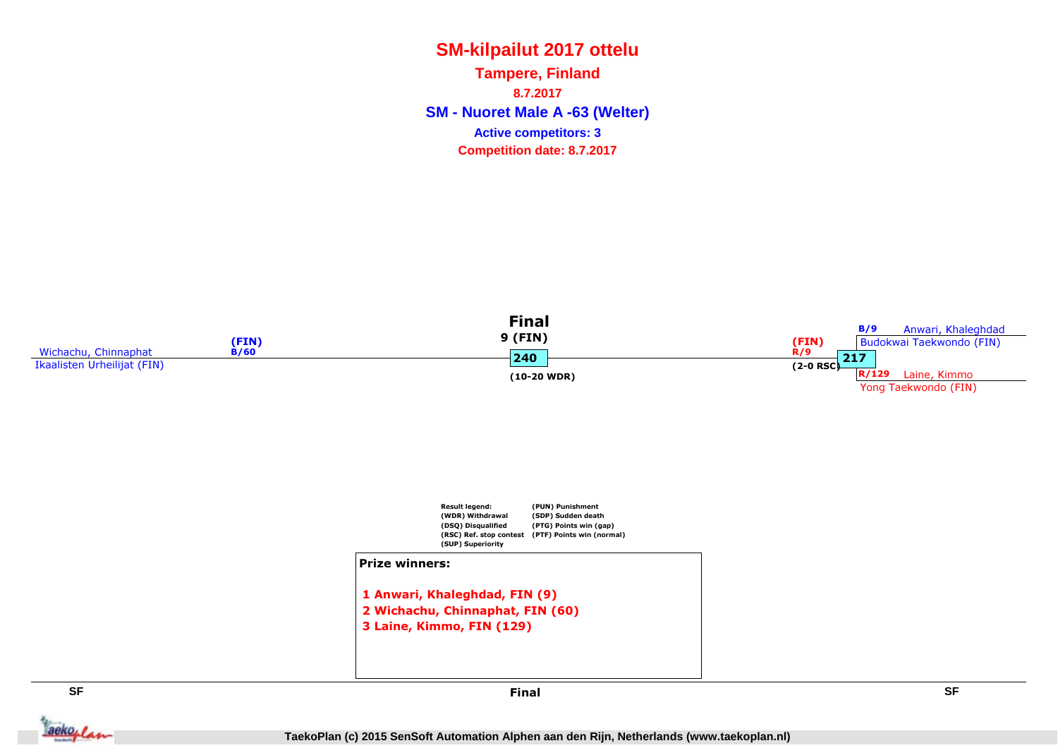**SM - Nuoret Male A -63 (Welter) Tampere, Finland8.7.2017Competition date: 8.7.2017 Active competitors: 3**



Jackeplan



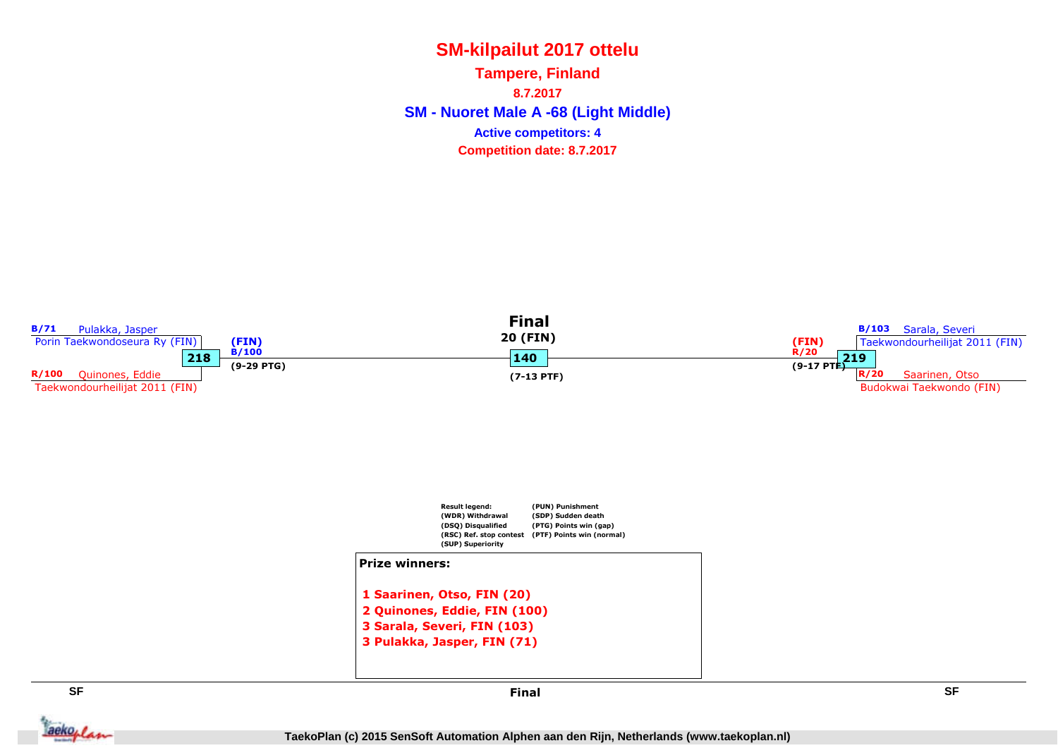**SM - Nuoret Male A -68 (Light Middle) Tampere, Finland8.7.2017Competition date: 8.7.2017 Active competitors: 4**

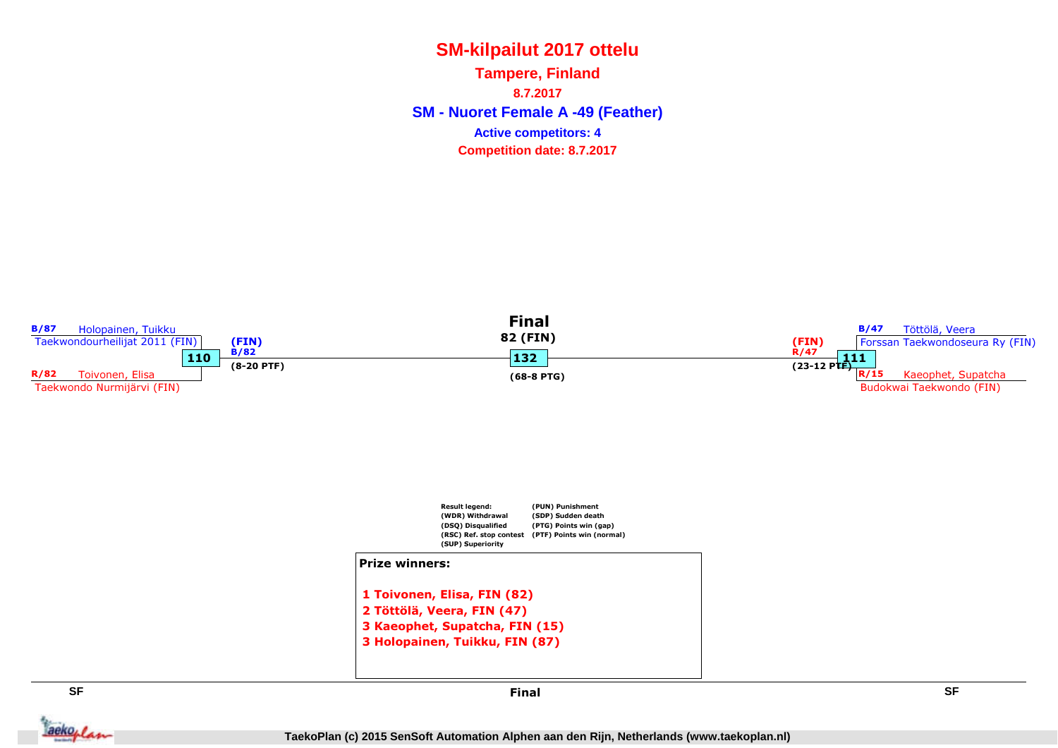**SM - Nuoret Female A -49 (Feather) Tampere, Finland8.7.2017Competition date: 8.7.2017 Active competitors: 4**



Jackeplan

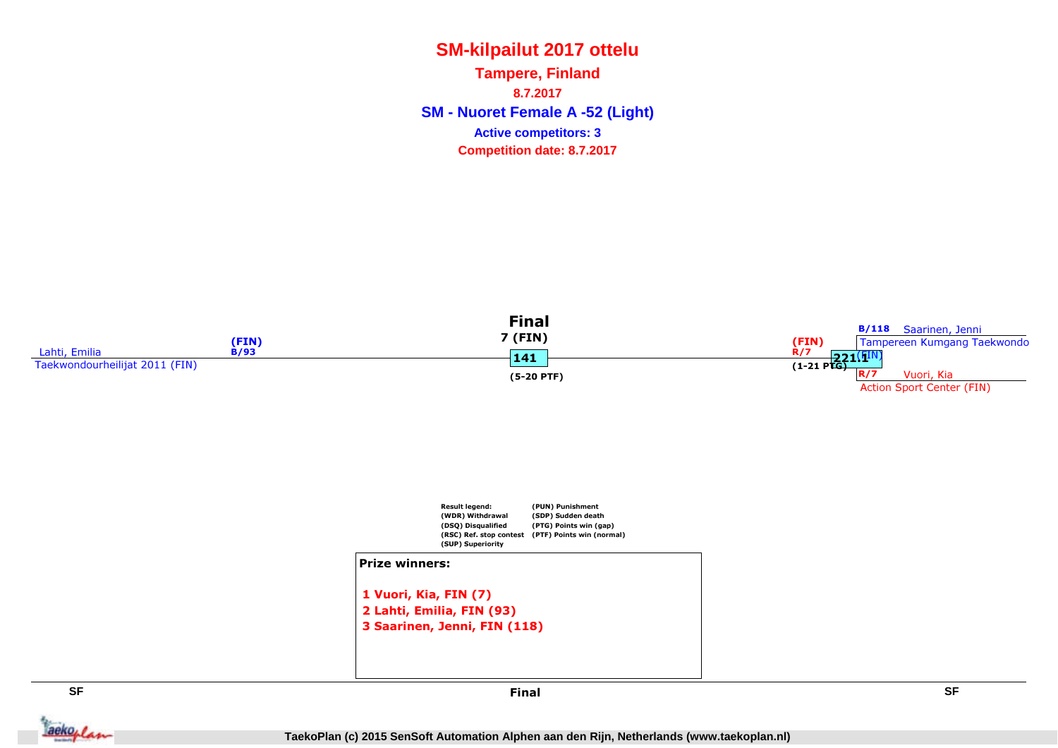**SM - Nuoret Female A -52 (Light) Tampere, Finland8.7.2017Competition date: 8.7.2017 Active competitors: 3**





#### Prize winners:

```
1 Vuori, Kia, FIN (7)
2 Lahti, Emilia, FIN (93)
3 Saarinen, Jenni, FIN (118)
```


Jackeplan

 **SF** Final

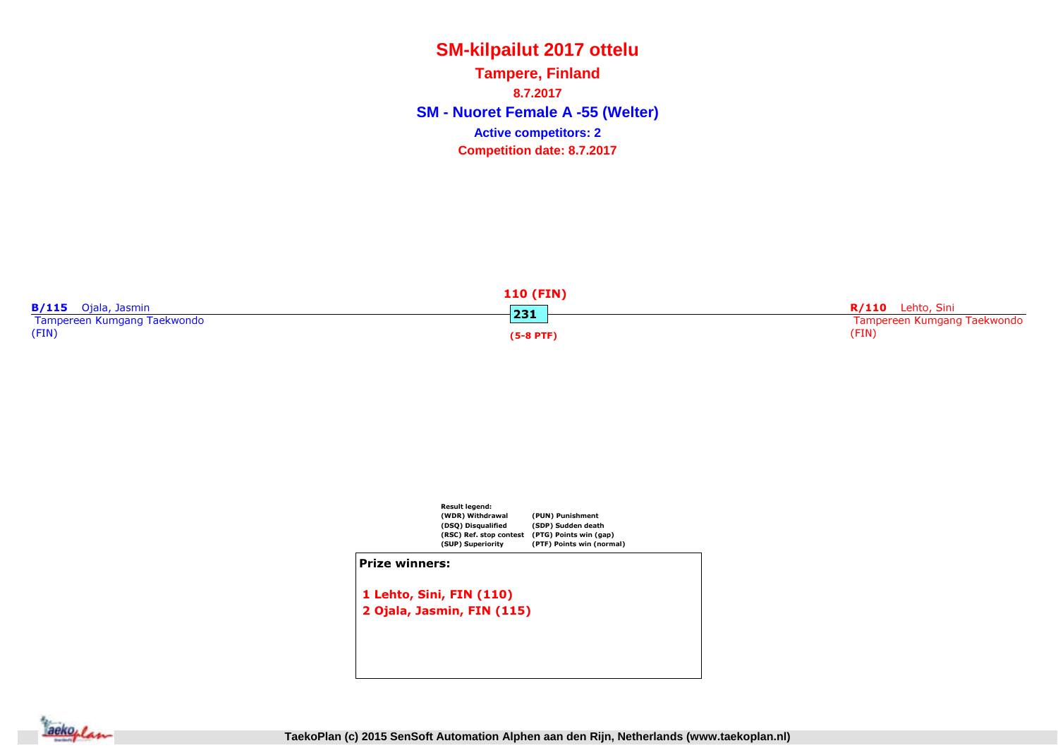**SM - Nuoret Female A -55 (Welter) Tampere, Finland8.7.2017Competition date: 8.7.2017 Active competitors: 2**

|                             | <b>110 (FIN)</b> |                             |
|-----------------------------|------------------|-----------------------------|
| B/115 Ojala, Jasmin         | 231              | <b>R/110</b> Lehto, Sini    |
| Tampereen Kumgang Taekwondo |                  | Tampereen Kumgang Taekwondo |
| (FIN)                       | $(5-8$ PTF)      | (FIN)                       |



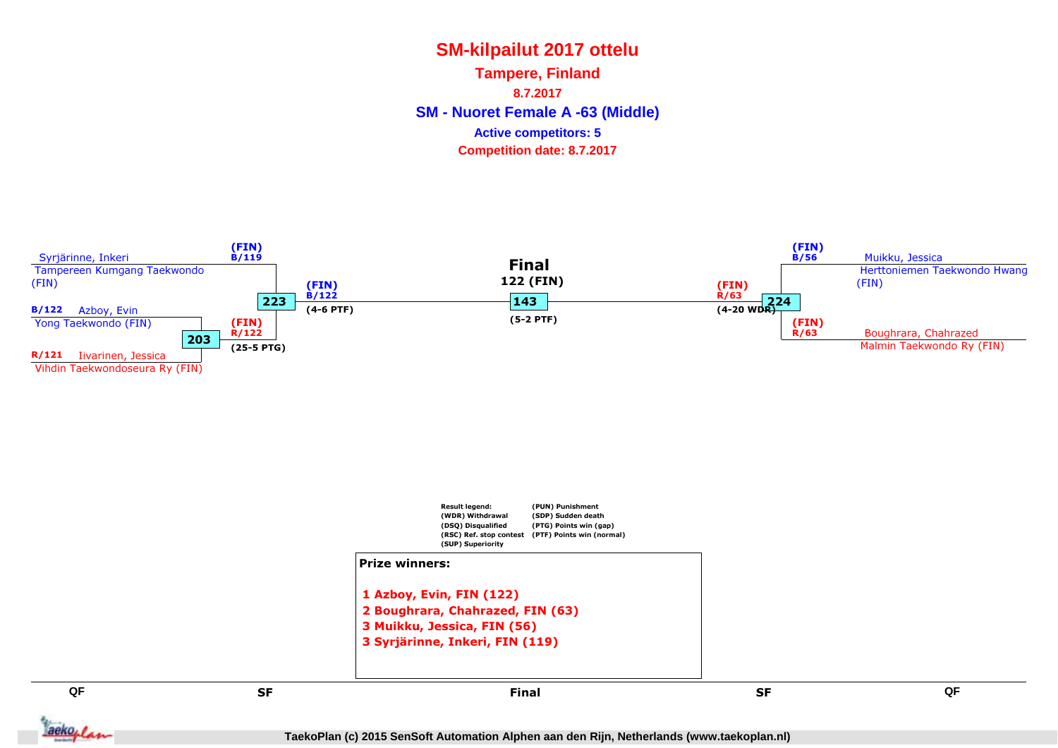**SM - Nuoret Female A -63 (Middle) Tampere, Finland8.7.2017Competition date: 8.7.2017 Active competitors: 5**



**TaekoPlan (c) 2015 SenSoft Automation Alphen aan den Rijn, Netherlands (www.taekoplan.nl)**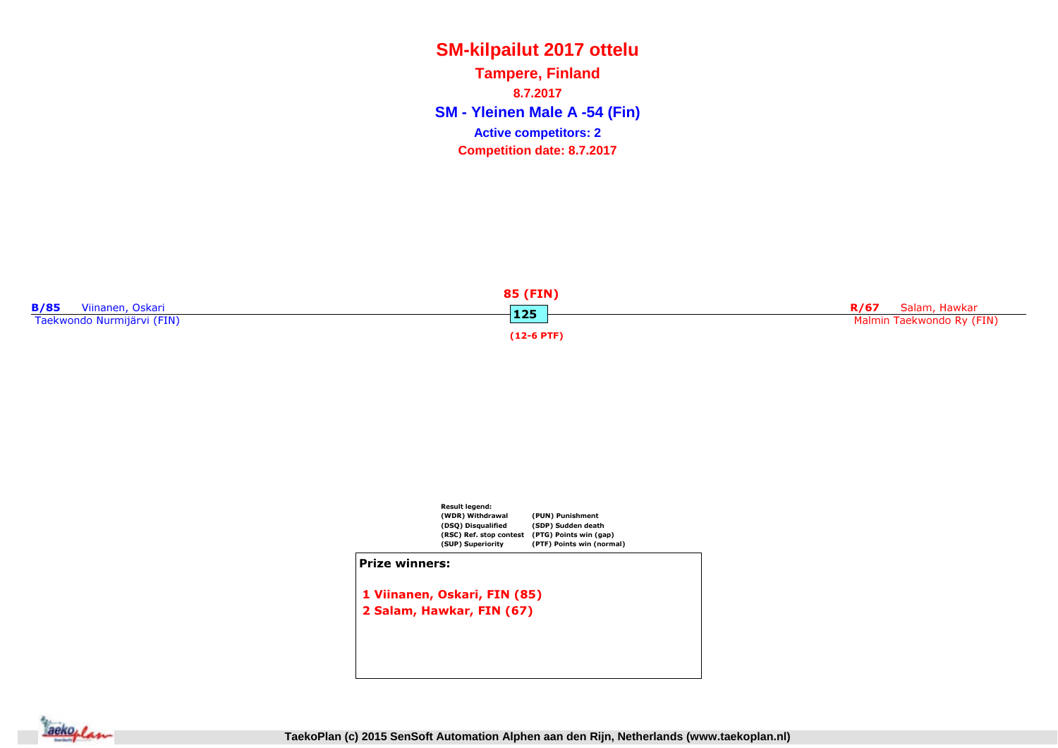**SM - Yleinen Male A -54 (Fin) Tampere, Finland8.7.2017Competition date: 8.7.2017 Active competitors: 2**





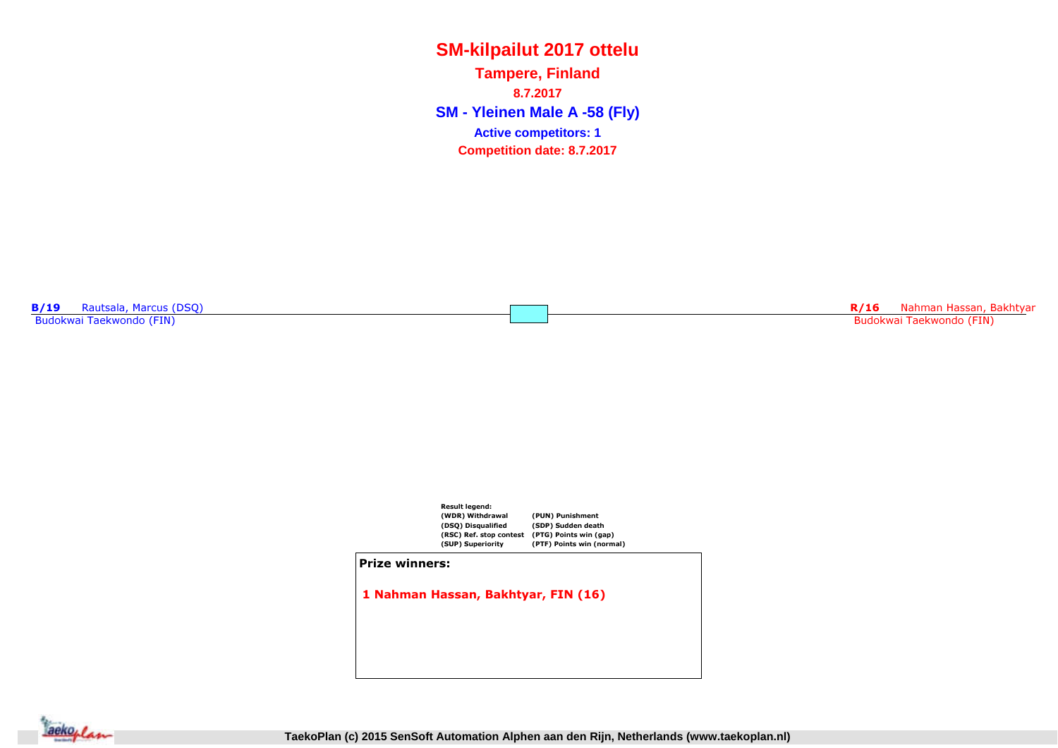**SM - Yleinen Male A -58 (Fly) Tampere, Finland8.7.2017Competition date: 8.7.2017 Active competitors: 1**

**B/19** Rautsala, Marcus (DSQ) Budokwai Taekwondo (FIN)

R/16 Nahman Hassan, Bakhtyar<br>Bakhtar Tarih (FM) Budokwai Taekwondo (FIN)



1 Nahman Hassan, Bakhtyar, FIN (16)

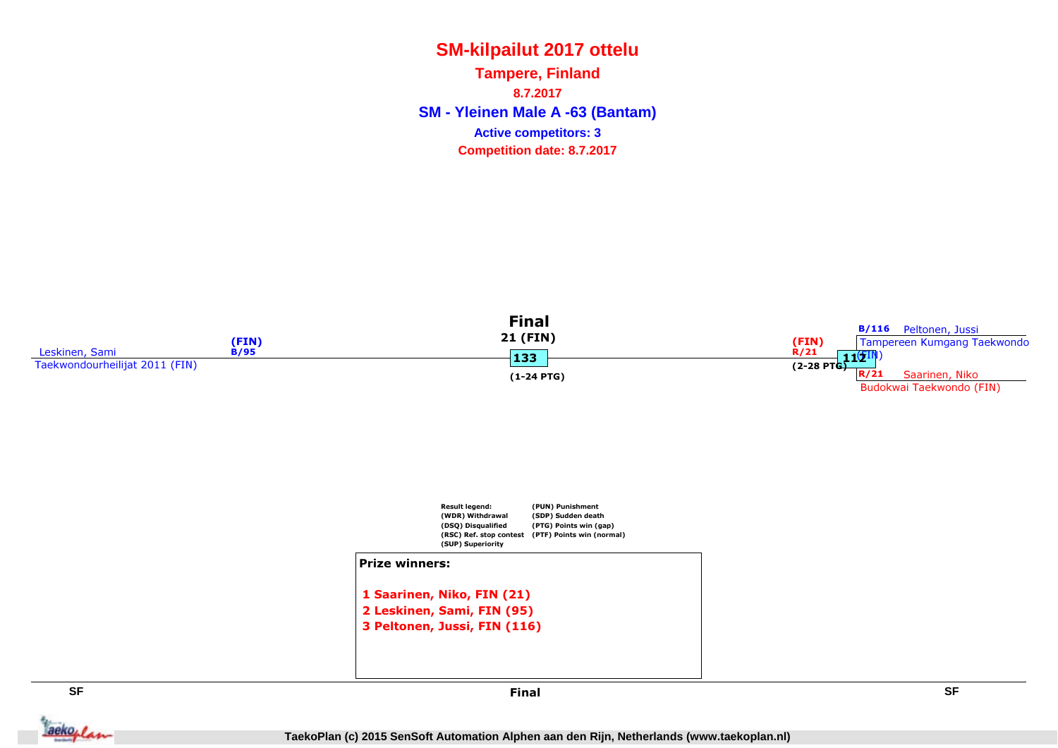**SM - Yleinen Male A -63 (Bantam) Tampere, Finland8.7.2017Competition date: 8.7.2017 Active competitors: 3**





**SF**

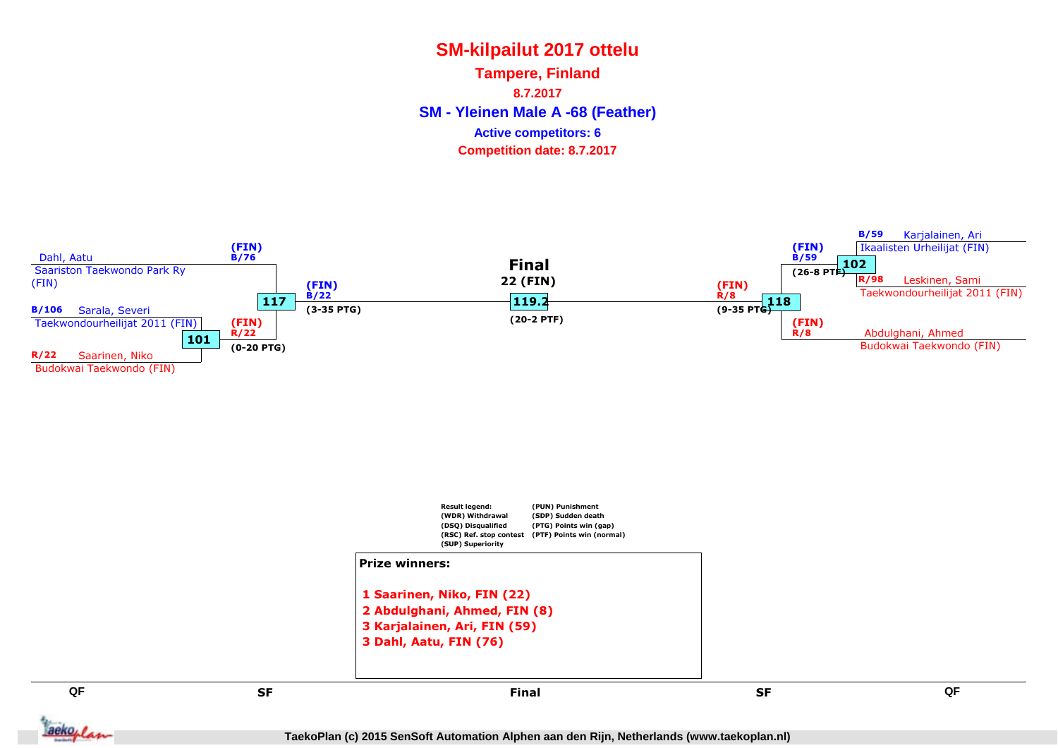**SM - Yleinen Male A -68 (Feather) Tampere, Finland8.7.2017Competition date: 8.7.2017 Active competitors: 6**



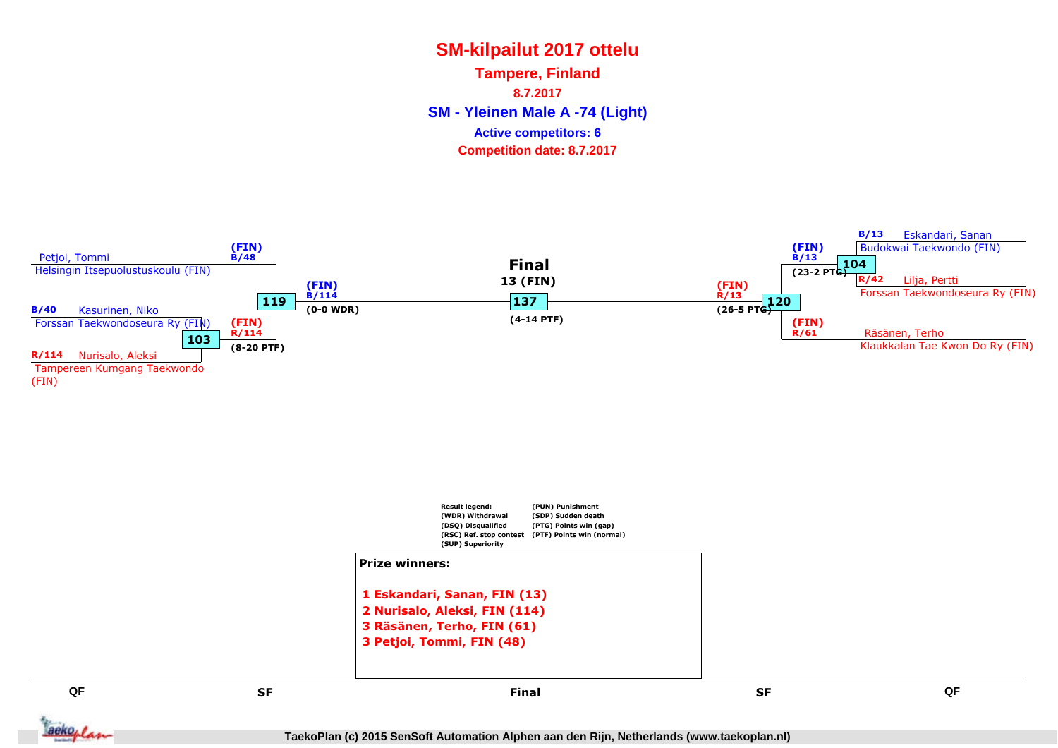**SM - Yleinen Male A -74 (Light) Tampere, Finland8.7.2017Competition date: 8.7.2017 Active competitors: 6**



**TaekoPlan (c) 2015 SenSoft Automation Alphen aan den Rijn, Netherlands (www.taekoplan.nl)**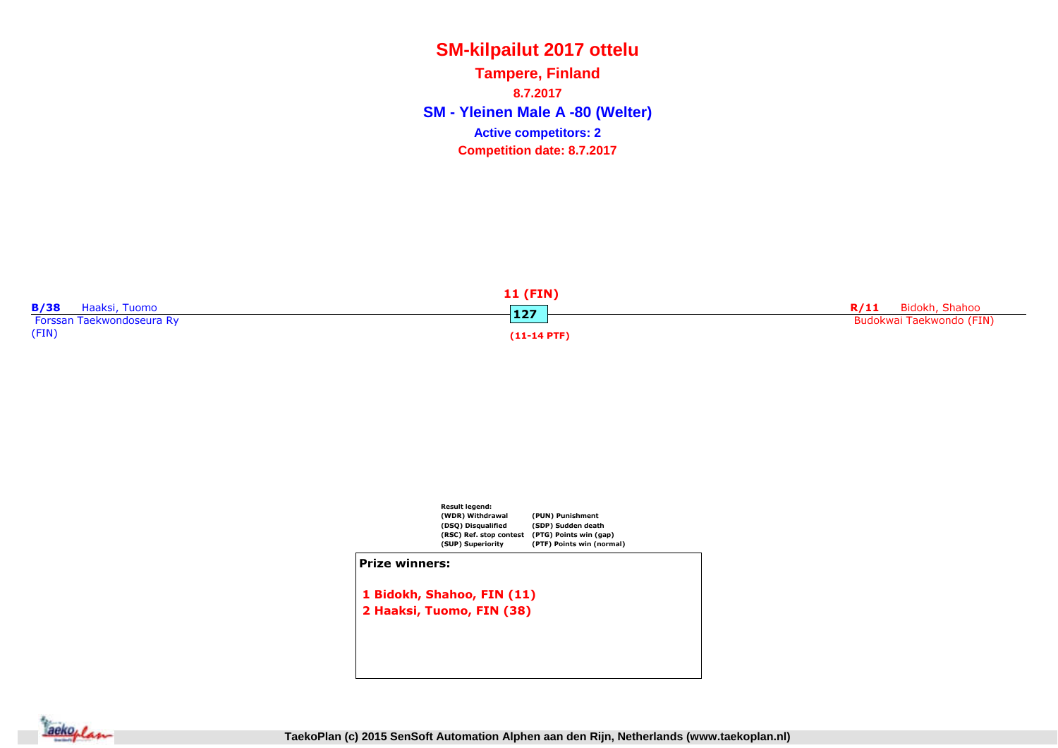**SM - Yleinen Male A -80 (Welter) Tampere, Finland8.7.2017Competition date: 8.7.2017 Active competitors: 2**





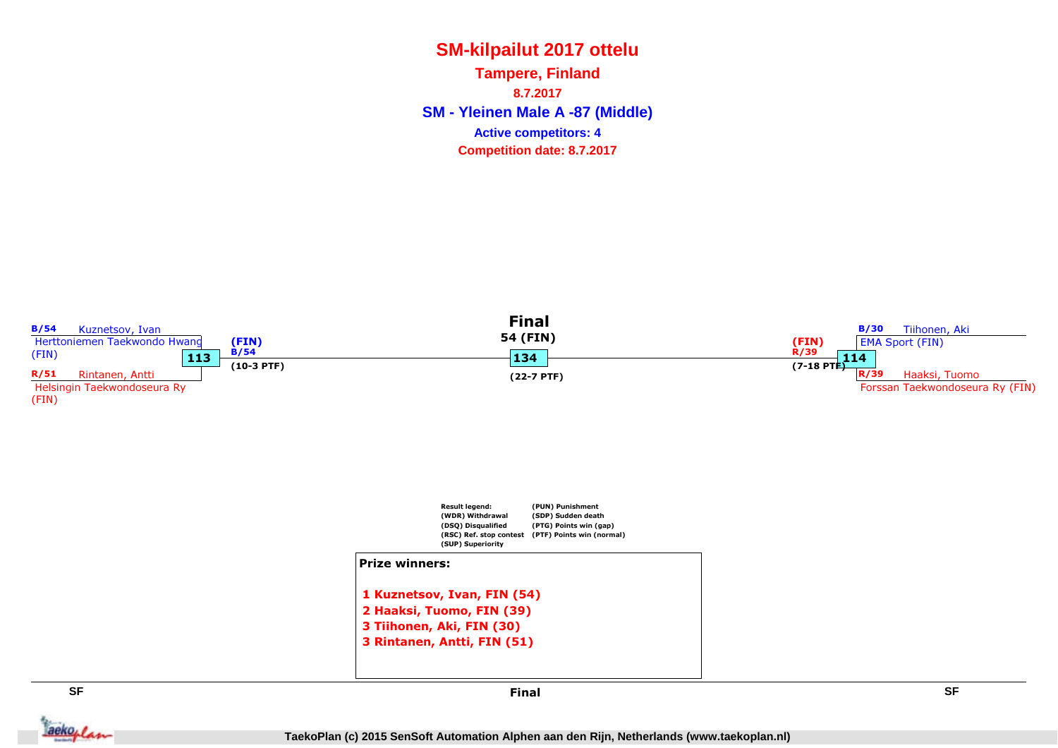**SM - Yleinen Male A -87 (Middle) Tampere, Finland8.7.2017Competition date: 8.7.2017 Active competitors: 4**



Jackeplan

Final

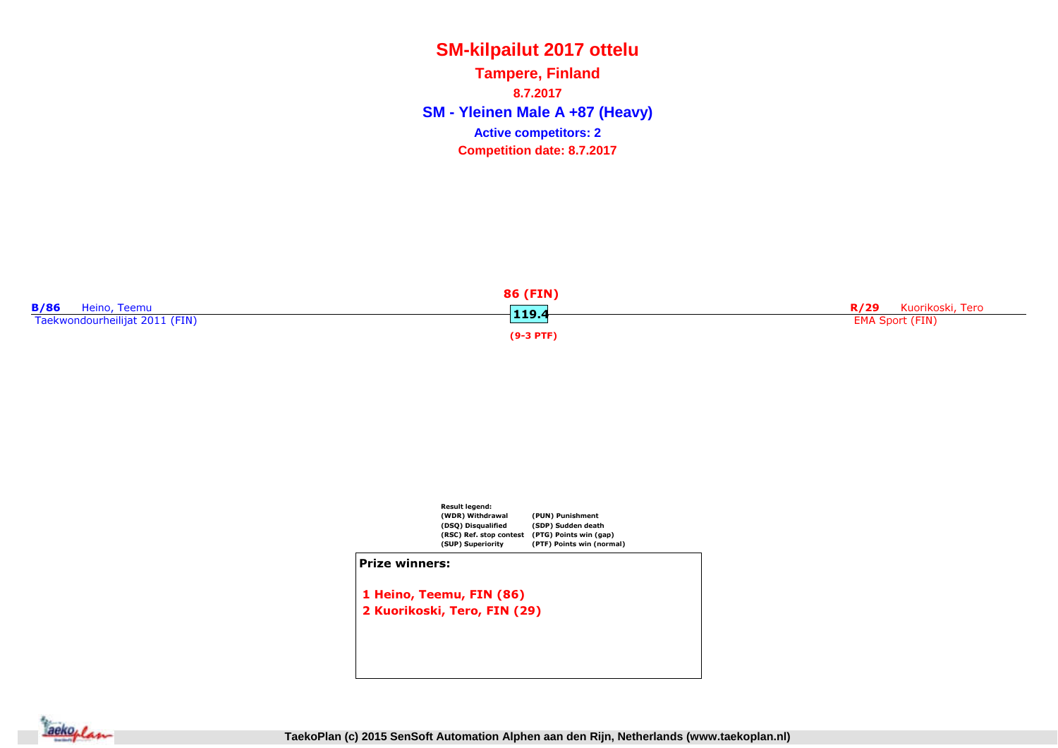**SM - Yleinen Male A +87 (Heavy) Tampere, Finland8.7.2017Competition date: 8.7.2017 Active competitors: 2**

|                                | 86 (FIN)    |                          |
|--------------------------------|-------------|--------------------------|
| <b>B/86</b><br>Heino, Teemu    | 119.4       | Kuorikoski, Tero<br>R/29 |
| Taekwondourheilijat 2011 (FIN) |             | <b>EMA Sport (FIN)</b>   |
|                                | $(9-3$ PTF) |                          |



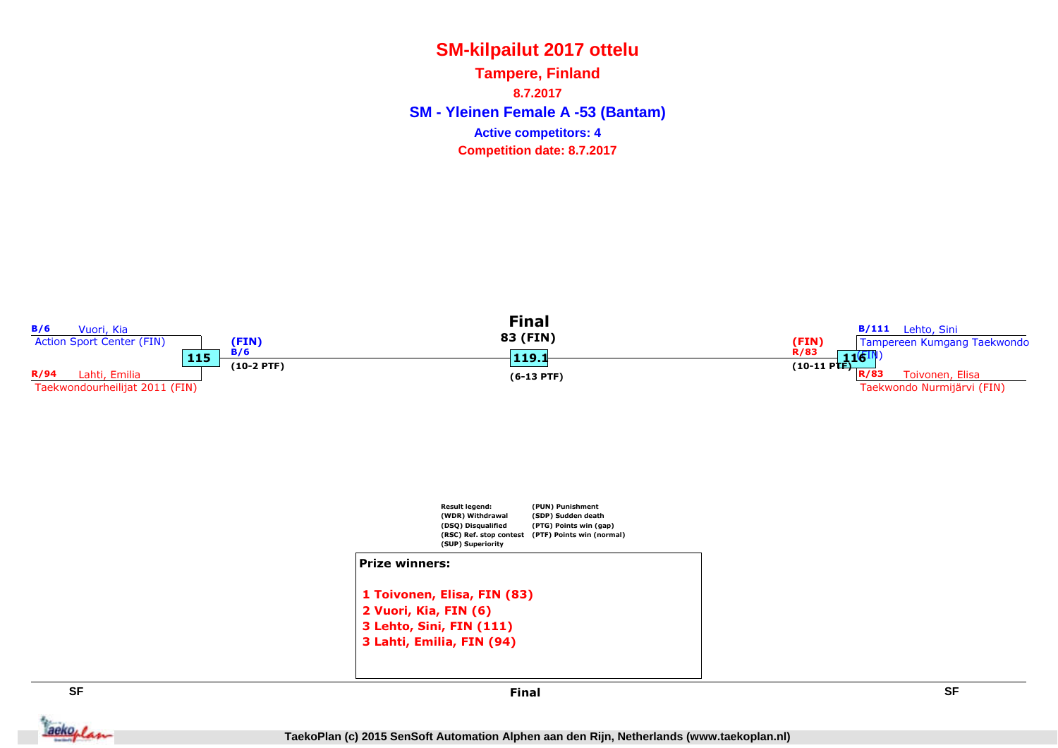**SM - Yleinen Female A -53 (Bantam) Tampere, Finland8.7.2017Competition date: 8.7.2017 Active competitors: 4**



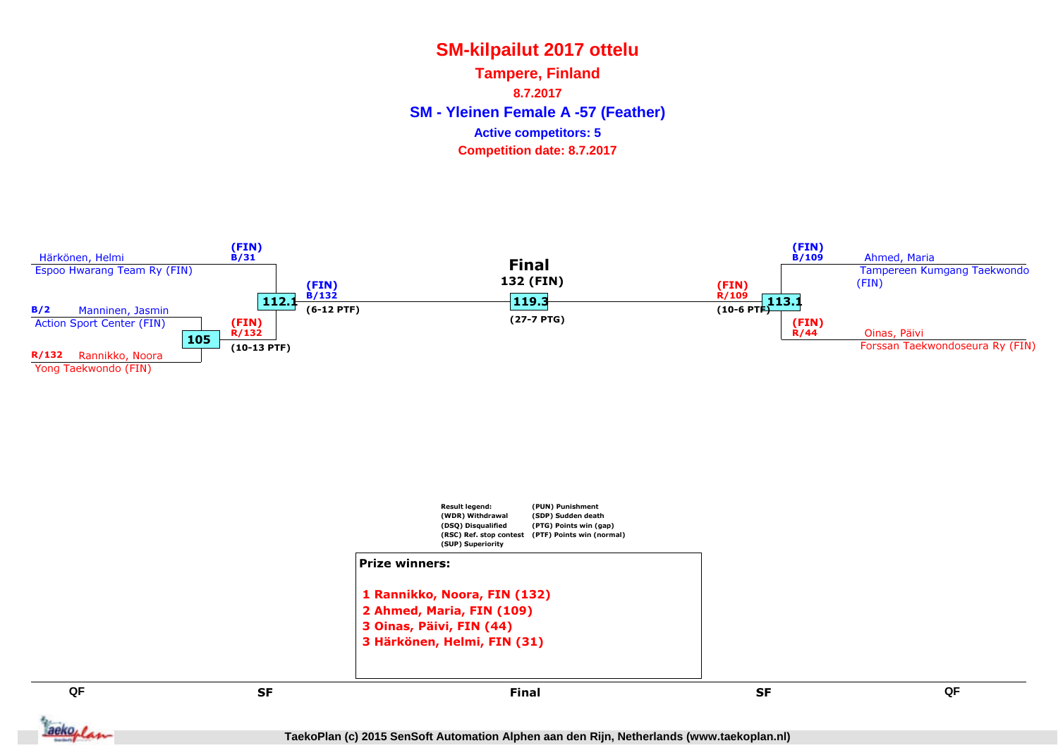**SM - Yleinen Female A -57 (Feather) Tampere, Finland8.7.2017Competition date: 8.7.2017 Active competitors: 5**



**TaekoPlan (c) 2015 SenSoft Automation Alphen aan den Rijn, Netherlands (www.taekoplan.nl)**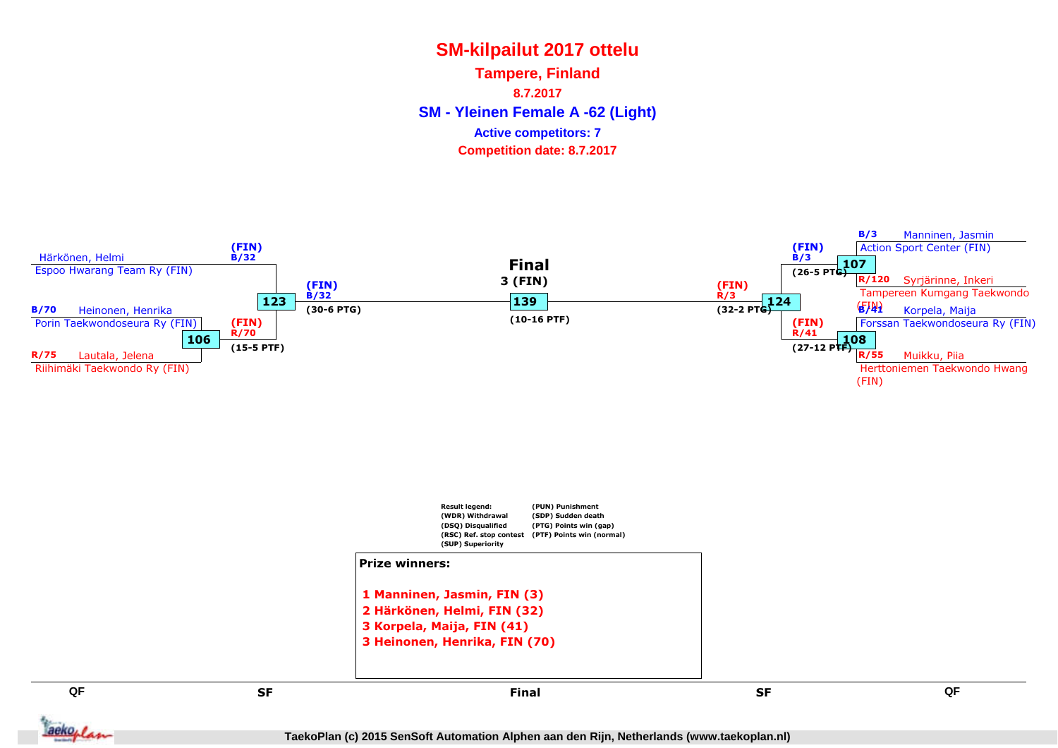**SM - Yleinen Female A -62 (Light) Tampere, Finland8.7.2017Competition date: 8.7.2017 Active competitors: 7**



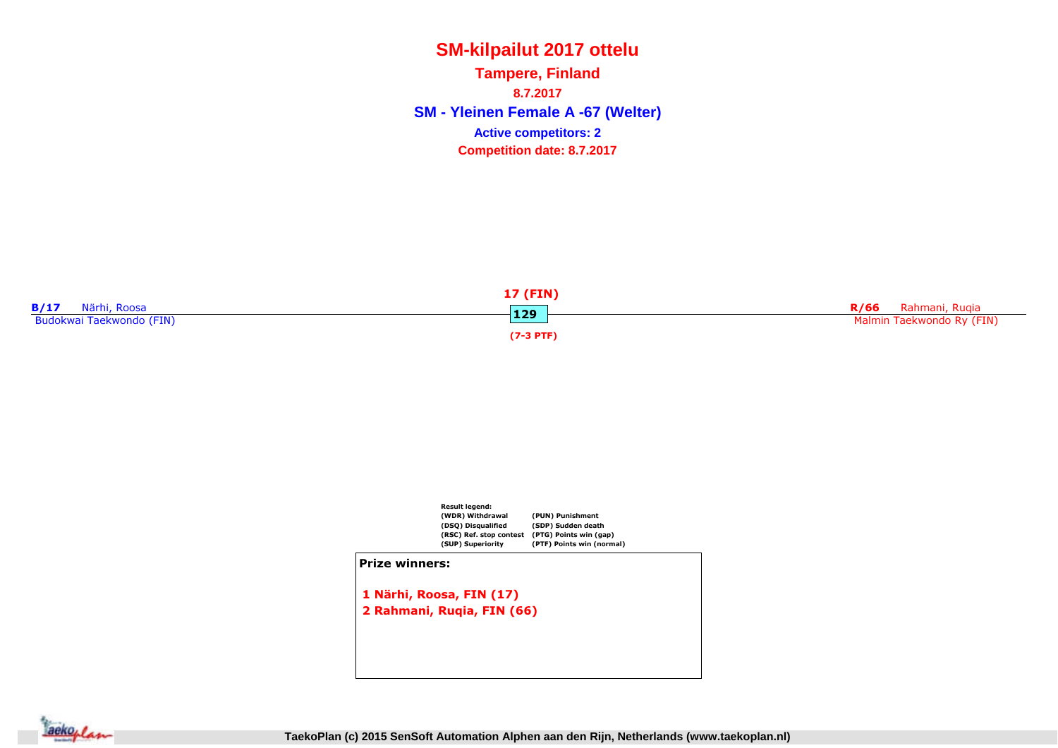**SM - Yleinen Female A -67 (Welter) Tampere, Finland8.7.2017Competition date: 8.7.2017 Active competitors: 2**